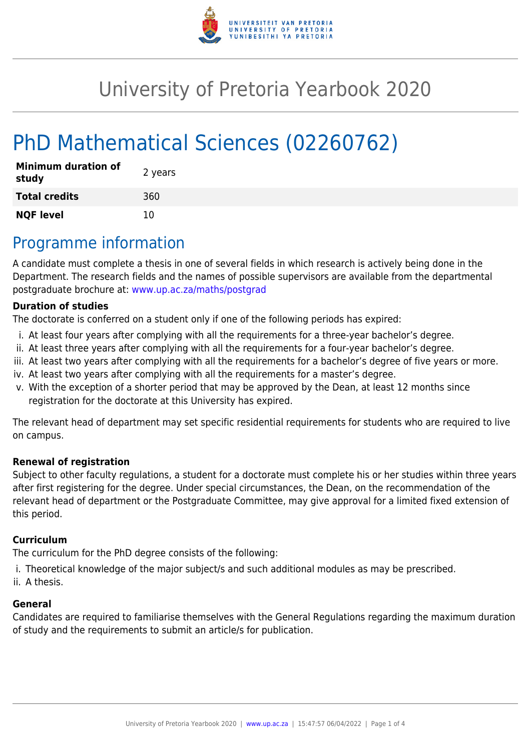

# University of Pretoria Yearbook 2020

# PhD Mathematical Sciences (02260762)

| <b>Minimum duration of</b><br>study | 2 years |
|-------------------------------------|---------|
| <b>Total credits</b>                | 360     |
| <b>NQF level</b>                    | 10      |

## Programme information

A candidate must complete a thesis in one of several fields in which research is actively being done in the Department. The research fields and the names of possible supervisors are available from the departmental postgraduate brochure at: [www.up.ac.za/maths/postgrad](http://www.up.ac.za/maths/postgrad)

#### **Duration of studies**

The doctorate is conferred on a student only if one of the following periods has expired:

- i. At least four years after complying with all the requirements for a three-year bachelor's degree.
- ii. At least three years after complying with all the requirements for a four-year bachelor's degree.
- iii. At least two years after complying with all the requirements for a bachelor's degree of five years or more.
- iv. At least two years after complying with all the requirements for a master's degree.
- v. With the exception of a shorter period that may be approved by the Dean, at least 12 months since registration for the doctorate at this University has expired.

The relevant head of department may set specific residential requirements for students who are required to live on campus.

#### **Renewal of registration**

Subject to other faculty regulations, a student for a doctorate must complete his or her studies within three years after first registering for the degree. Under special circumstances, the Dean, on the recommendation of the relevant head of department or the Postgraduate Committee, may give approval for a limited fixed extension of this period.

#### **Curriculum**

The curriculum for the PhD degree consists of the following:

- i. Theoretical knowledge of the major subject/s and such additional modules as may be prescribed.
- ii. A thesis.

#### **General**

Candidates are required to familiarise themselves with the General Regulations regarding the maximum duration of study and the requirements to submit an article/s for publication.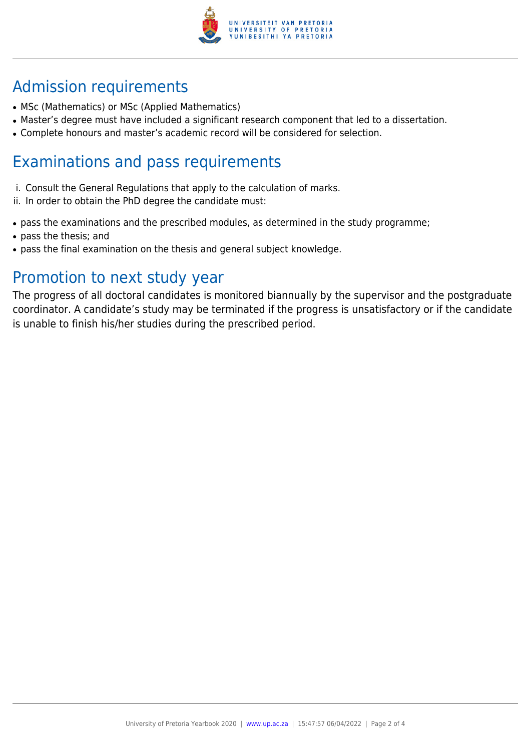

## Admission requirements

- MSc (Mathematics) or MSc (Applied Mathematics)
- Master's degree must have included a significant research component that led to a dissertation.
- Complete honours and master's academic record will be considered for selection.

### Examinations and pass requirements

- i. Consult the General Regulations that apply to the calculation of marks.
- ii. In order to obtain the PhD degree the candidate must:
- pass the examinations and the prescribed modules, as determined in the study programme;
- pass the thesis; and
- pass the final examination on the thesis and general subject knowledge.

### Promotion to next study year

The progress of all doctoral candidates is monitored biannually by the supervisor and the postgraduate coordinator. A candidate's study may be terminated if the progress is unsatisfactory or if the candidate is unable to finish his/her studies during the prescribed period.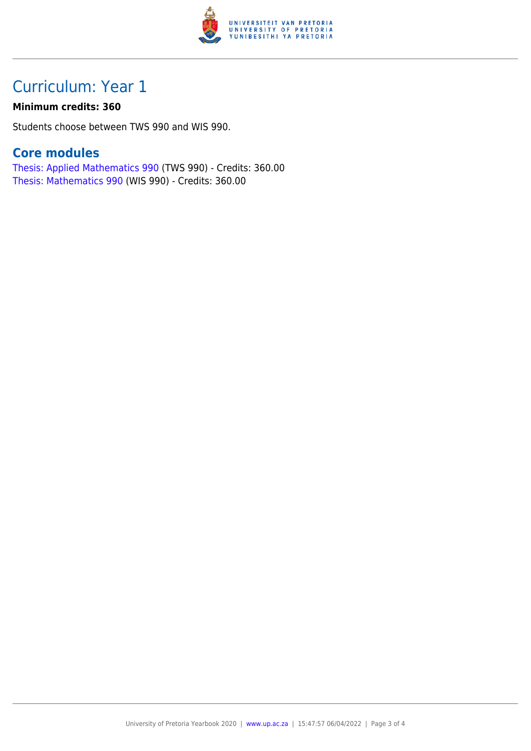

## Curriculum: Year 1

#### **Minimum credits: 360**

Students choose between TWS 990 and WIS 990.

### **Core modules**

[Thesis: Applied Mathematics 990](https://www.up.ac.za/faculty-of-education/yearbooks/2020/modules/view/TWS 990) (TWS 990) - Credits: 360.00 [Thesis: Mathematics 990](https://www.up.ac.za/faculty-of-education/yearbooks/2020/modules/view/WIS 990) (WIS 990) - Credits: 360.00